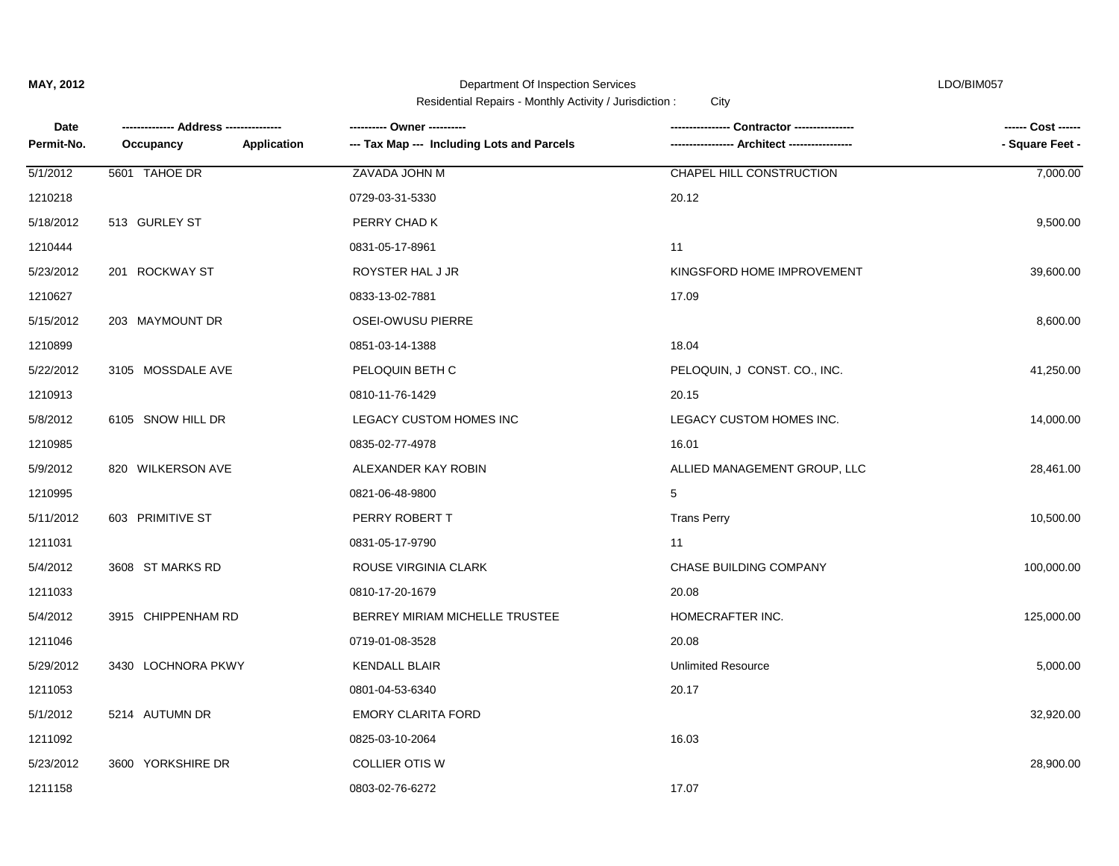| Date       |                          | ---------- Owner ----------                | Contractor ----------------  | ------ Cost ------ |
|------------|--------------------------|--------------------------------------------|------------------------------|--------------------|
| Permit-No. | Occupancy<br>Application | --- Tax Map --- Including Lots and Parcels | -- Architect ---             | - Square Feet -    |
| 5/1/2012   | 5601 TAHOE DR            | ZAVADA JOHN M                              | CHAPEL HILL CONSTRUCTION     | 7,000.00           |
| 1210218    |                          | 0729-03-31-5330                            | 20.12                        |                    |
| 5/18/2012  | 513 GURLEY ST            | PERRY CHAD K                               |                              | 9,500.00           |
| 1210444    |                          | 0831-05-17-8961                            | 11                           |                    |
| 5/23/2012  | 201 ROCKWAY ST           | ROYSTER HAL J JR                           | KINGSFORD HOME IMPROVEMENT   | 39,600.00          |
| 1210627    |                          | 0833-13-02-7881                            | 17.09                        |                    |
| 5/15/2012  | 203 MAYMOUNT DR          | <b>OSEI-OWUSU PIERRE</b>                   |                              | 8,600.00           |
| 1210899    |                          | 0851-03-14-1388                            | 18.04                        |                    |
| 5/22/2012  | 3105 MOSSDALE AVE        | PELOQUIN BETH C                            | PELOQUIN, J CONST. CO., INC. | 41,250.00          |
| 1210913    |                          | 0810-11-76-1429                            | 20.15                        |                    |
| 5/8/2012   | 6105 SNOW HILL DR        | LEGACY CUSTOM HOMES INC                    | LEGACY CUSTOM HOMES INC.     | 14,000.00          |
| 1210985    |                          | 0835-02-77-4978                            | 16.01                        |                    |
| 5/9/2012   | 820 WILKERSON AVE        | ALEXANDER KAY ROBIN                        | ALLIED MANAGEMENT GROUP, LLC | 28,461.00          |
| 1210995    |                          | 0821-06-48-9800                            | 5                            |                    |
| 5/11/2012  | 603 PRIMITIVE ST         | PERRY ROBERT T                             | <b>Trans Perry</b>           | 10,500.00          |
| 1211031    |                          | 0831-05-17-9790                            | 11                           |                    |
| 5/4/2012   | 3608 ST MARKS RD         | ROUSE VIRGINIA CLARK                       | CHASE BUILDING COMPANY       | 100,000.00         |
| 1211033    |                          | 0810-17-20-1679                            | 20.08                        |                    |
| 5/4/2012   | 3915 CHIPPENHAM RD       | BERREY MIRIAM MICHELLE TRUSTEE             | HOMECRAFTER INC.             | 125,000.00         |
| 1211046    |                          | 0719-01-08-3528                            | 20.08                        |                    |
| 5/29/2012  | 3430 LOCHNORA PKWY       | <b>KENDALL BLAIR</b>                       | <b>Unlimited Resource</b>    | 5,000.00           |
| 1211053    |                          | 0801-04-53-6340                            | 20.17                        |                    |
| 5/1/2012   | 5214 AUTUMN DR           | <b>EMORY CLARITA FORD</b>                  |                              | 32,920.00          |
| 1211092    |                          | 0825-03-10-2064                            | 16.03                        |                    |
| 5/23/2012  | 3600 YORKSHIRE DR        | <b>COLLIER OTIS W</b>                      |                              | 28,900.00          |
| 1211158    |                          | 0803-02-76-6272                            | 17.07                        |                    |
|            |                          |                                            |                              |                    |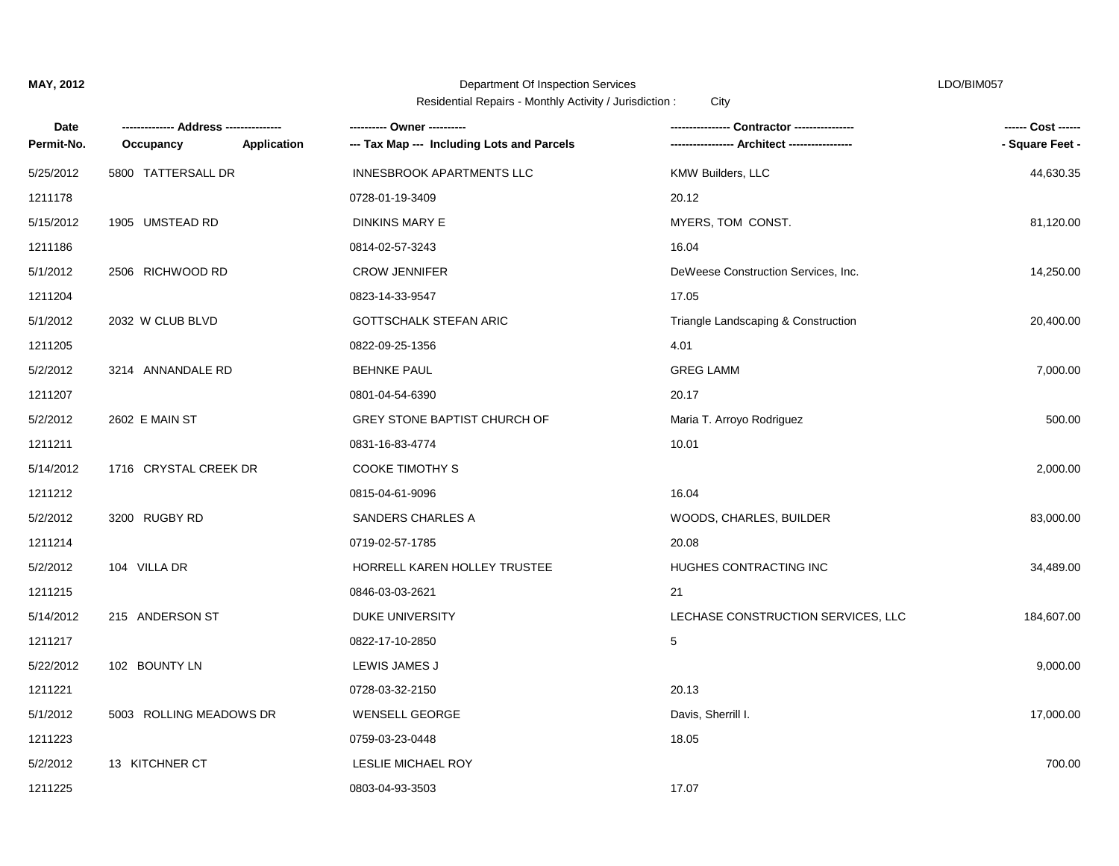| Date       |                         |                    |                                            | Contractor ----------------         | ------ Cost ------ |
|------------|-------------------------|--------------------|--------------------------------------------|-------------------------------------|--------------------|
| Permit-No. | Occupancy               | <b>Application</b> | --- Tax Map --- Including Lots and Parcels |                                     | - Square Feet -    |
| 5/25/2012  | 5800 TATTERSALL DR      |                    | <b>INNESBROOK APARTMENTS LLC</b>           | <b>KMW Builders, LLC</b>            | 44,630.35          |
| 1211178    |                         |                    | 0728-01-19-3409                            | 20.12                               |                    |
| 5/15/2012  | 1905 UMSTEAD RD         |                    | <b>DINKINS MARY E</b>                      | MYERS, TOM CONST.                   | 81,120.00          |
| 1211186    |                         |                    | 0814-02-57-3243                            | 16.04                               |                    |
| 5/1/2012   | 2506 RICHWOOD RD        |                    | <b>CROW JENNIFER</b>                       | DeWeese Construction Services, Inc. | 14,250.00          |
| 1211204    |                         |                    | 0823-14-33-9547                            | 17.05                               |                    |
| 5/1/2012   | 2032 W CLUB BLVD        |                    | <b>GOTTSCHALK STEFAN ARIC</b>              | Triangle Landscaping & Construction | 20,400.00          |
| 1211205    |                         |                    | 0822-09-25-1356                            | 4.01                                |                    |
| 5/2/2012   | 3214 ANNANDALE RD       |                    | <b>BEHNKE PAUL</b>                         | <b>GREG LAMM</b>                    | 7,000.00           |
| 1211207    |                         |                    | 0801-04-54-6390                            | 20.17                               |                    |
| 5/2/2012   | 2602 E MAIN ST          |                    | GREY STONE BAPTIST CHURCH OF               | Maria T. Arroyo Rodriguez           | 500.00             |
| 1211211    |                         |                    | 0831-16-83-4774                            | 10.01                               |                    |
| 5/14/2012  | 1716 CRYSTAL CREEK DR   |                    | <b>COOKE TIMOTHY S</b>                     |                                     | 2,000.00           |
| 1211212    |                         |                    | 0815-04-61-9096                            | 16.04                               |                    |
| 5/2/2012   | 3200 RUGBY RD           |                    | SANDERS CHARLES A                          | WOODS, CHARLES, BUILDER             | 83,000.00          |
| 1211214    |                         |                    | 0719-02-57-1785                            | 20.08                               |                    |
| 5/2/2012   | 104 VILLA DR            |                    | HORRELL KAREN HOLLEY TRUSTEE               | HUGHES CONTRACTING INC              | 34,489.00          |
| 1211215    |                         |                    | 0846-03-03-2621                            | 21                                  |                    |
| 5/14/2012  | 215 ANDERSON ST         |                    | DUKE UNIVERSITY                            | LECHASE CONSTRUCTION SERVICES, LLC  | 184,607.00         |
| 1211217    |                         |                    | 0822-17-10-2850                            | 5                                   |                    |
| 5/22/2012  | 102 BOUNTY LN           |                    | LEWIS JAMES J                              |                                     | 9,000.00           |
| 1211221    |                         |                    | 0728-03-32-2150                            | 20.13                               |                    |
| 5/1/2012   | 5003 ROLLING MEADOWS DR |                    | <b>WENSELL GEORGE</b>                      | Davis, Sherrill I.                  | 17,000.00          |
| 1211223    |                         |                    | 0759-03-23-0448                            | 18.05                               |                    |
| 5/2/2012   | 13 KITCHNER CT          |                    | LESLIE MICHAEL ROY                         |                                     | 700.00             |
| 1211225    |                         |                    | 0803-04-93-3503                            | 17.07                               |                    |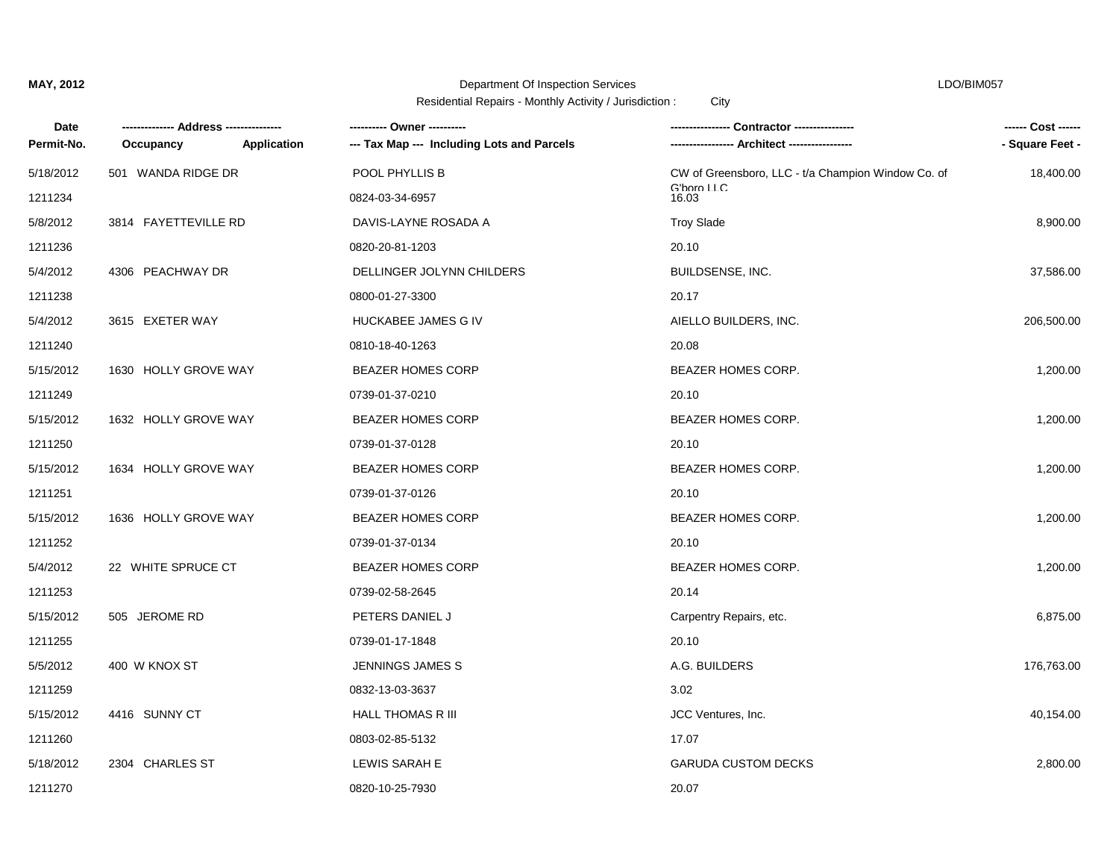| Date       |                      |             | ---------- Owner ----------                | <b>Contractor ------------</b>                     | ------ Cost ------ |
|------------|----------------------|-------------|--------------------------------------------|----------------------------------------------------|--------------------|
| Permit-No. | Occupancy            | Application | --- Tax Map --- Including Lots and Parcels |                                                    | - Square Feet -    |
| 5/18/2012  | 501 WANDA RIDGE DR   |             | POOL PHYLLIS B                             | CW of Greensboro, LLC - t/a Champion Window Co. of | 18,400.00          |
| 1211234    |                      |             | 0824-03-34-6957                            | G'boro LLC<br>16.03                                |                    |
| 5/8/2012   | 3814 FAYETTEVILLE RD |             | DAVIS-LAYNE ROSADA A                       | <b>Troy Slade</b>                                  | 8,900.00           |
| 1211236    |                      |             | 0820-20-81-1203                            | 20.10                                              |                    |
| 5/4/2012   | 4306 PEACHWAY DR     |             | DELLINGER JOLYNN CHILDERS                  | BUILDSENSE, INC.                                   | 37,586.00          |
| 1211238    |                      |             | 0800-01-27-3300                            | 20.17                                              |                    |
| 5/4/2012   | 3615 EXETER WAY      |             | HUCKABEE JAMES G IV                        | AIELLO BUILDERS, INC.                              | 206,500.00         |
| 1211240    |                      |             | 0810-18-40-1263                            | 20.08                                              |                    |
| 5/15/2012  | 1630 HOLLY GROVE WAY |             | <b>BEAZER HOMES CORP</b>                   | BEAZER HOMES CORP.                                 | 1,200.00           |
| 1211249    |                      |             | 0739-01-37-0210                            | 20.10                                              |                    |
| 5/15/2012  | 1632 HOLLY GROVE WAY |             | <b>BEAZER HOMES CORP</b>                   | <b>BEAZER HOMES CORP.</b>                          | 1,200.00           |
| 1211250    |                      |             | 0739-01-37-0128                            | 20.10                                              |                    |
| 5/15/2012  | 1634 HOLLY GROVE WAY |             | <b>BEAZER HOMES CORP</b>                   | BEAZER HOMES CORP.                                 | 1,200.00           |
| 1211251    |                      |             | 0739-01-37-0126                            | 20.10                                              |                    |
| 5/15/2012  | 1636 HOLLY GROVE WAY |             | <b>BEAZER HOMES CORP</b>                   | <b>BEAZER HOMES CORP.</b>                          | 1,200.00           |
| 1211252    |                      |             | 0739-01-37-0134                            | 20.10                                              |                    |
| 5/4/2012   | 22 WHITE SPRUCE CT   |             | <b>BEAZER HOMES CORP</b>                   | BEAZER HOMES CORP.                                 | 1,200.00           |
| 1211253    |                      |             | 0739-02-58-2645                            | 20.14                                              |                    |
| 5/15/2012  | 505 JEROME RD        |             | PETERS DANIEL J                            | Carpentry Repairs, etc.                            | 6,875.00           |
| 1211255    |                      |             | 0739-01-17-1848                            | 20.10                                              |                    |
| 5/5/2012   | 400 W KNOX ST        |             | JENNINGS JAMES S                           | A.G. BUILDERS                                      | 176,763.00         |
| 1211259    |                      |             | 0832-13-03-3637                            | 3.02                                               |                    |
| 5/15/2012  | 4416 SUNNY CT        |             | <b>HALL THOMAS R III</b>                   | JCC Ventures, Inc.                                 | 40,154.00          |
| 1211260    |                      |             | 0803-02-85-5132                            | 17.07                                              |                    |
| 5/18/2012  | 2304 CHARLES ST      |             | LEWIS SARAH E                              | <b>GARUDA CUSTOM DECKS</b>                         | 2,800.00           |
| 1211270    |                      |             | 0820-10-25-7930                            | 20.07                                              |                    |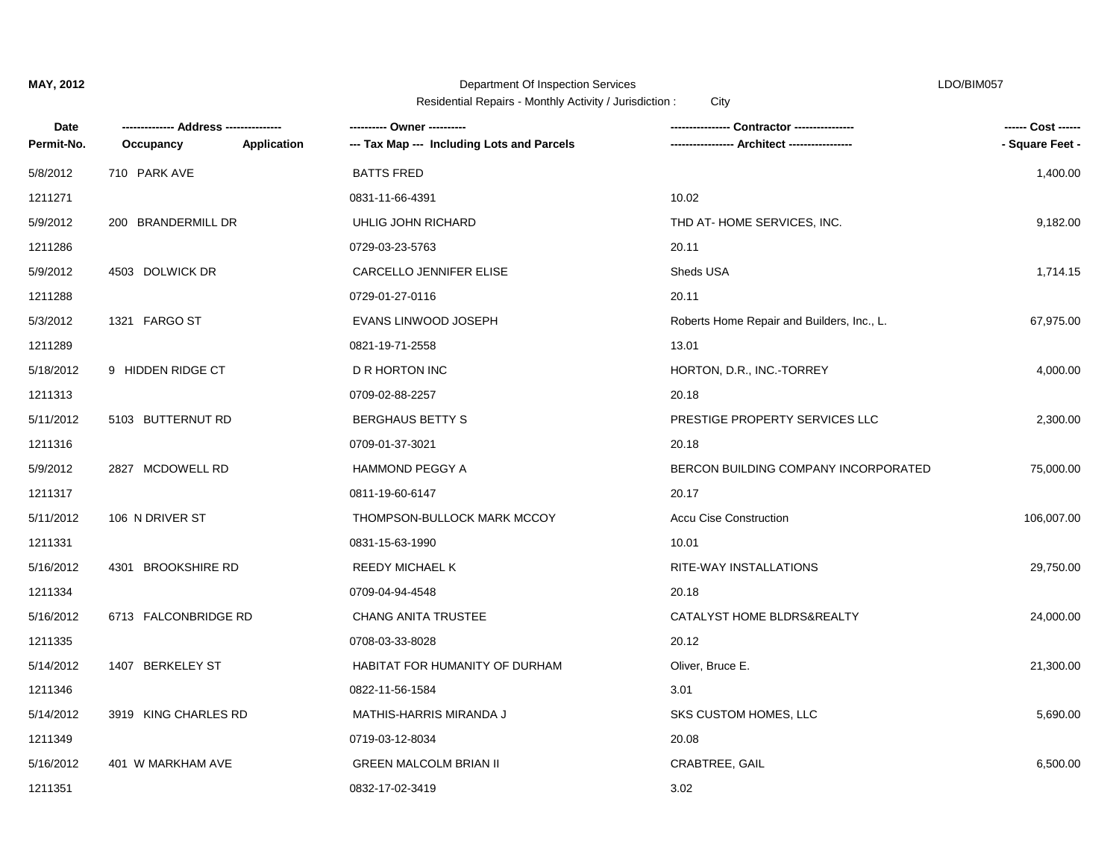| Date       |                      |                    |                                            | Contractor ---------------                 | ------ Cost ------ |
|------------|----------------------|--------------------|--------------------------------------------|--------------------------------------------|--------------------|
| Permit-No. | Occupancy            | <b>Application</b> | --- Tax Map --- Including Lots and Parcels | <b>Architect -----------</b>               | - Square Feet -    |
| 5/8/2012   | 710 PARK AVE         |                    | <b>BATTS FRED</b>                          |                                            | 1,400.00           |
| 1211271    |                      |                    | 0831-11-66-4391                            | 10.02                                      |                    |
| 5/9/2012   | 200 BRANDERMILL DR   |                    | UHLIG JOHN RICHARD                         | THD AT-HOME SERVICES, INC.                 | 9,182.00           |
| 1211286    |                      |                    | 0729-03-23-5763                            | 20.11                                      |                    |
| 5/9/2012   | 4503 DOLWICK DR      |                    | CARCELLO JENNIFER ELISE                    | Sheds USA                                  | 1,714.15           |
| 1211288    |                      |                    | 0729-01-27-0116                            | 20.11                                      |                    |
| 5/3/2012   | 1321 FARGO ST        |                    | EVANS LINWOOD JOSEPH                       | Roberts Home Repair and Builders, Inc., L. | 67,975.00          |
| 1211289    |                      |                    | 0821-19-71-2558                            | 13.01                                      |                    |
| 5/18/2012  | 9 HIDDEN RIDGE CT    |                    | D R HORTON INC                             | HORTON, D.R., INC.-TORREY                  | 4,000.00           |
| 1211313    |                      |                    | 0709-02-88-2257                            | 20.18                                      |                    |
| 5/11/2012  | 5103 BUTTERNUT RD    |                    | <b>BERGHAUS BETTY S</b>                    | PRESTIGE PROPERTY SERVICES LLC             | 2,300.00           |
| 1211316    |                      |                    | 0709-01-37-3021                            | 20.18                                      |                    |
| 5/9/2012   | 2827 MCDOWELL RD     |                    | <b>HAMMOND PEGGY A</b>                     | BERCON BUILDING COMPANY INCORPORATED       | 75,000.00          |
| 1211317    |                      |                    | 0811-19-60-6147                            | 20.17                                      |                    |
| 5/11/2012  | 106 N DRIVER ST      |                    | THOMPSON-BULLOCK MARK MCCOY                | <b>Accu Cise Construction</b>              | 106,007.00         |
| 1211331    |                      |                    | 0831-15-63-1990                            | 10.01                                      |                    |
| 5/16/2012  | 4301 BROOKSHIRE RD   |                    | REEDY MICHAEL K                            | RITE-WAY INSTALLATIONS                     | 29,750.00          |
| 1211334    |                      |                    | 0709-04-94-4548                            | 20.18                                      |                    |
| 5/16/2012  | 6713 FALCONBRIDGE RD |                    | <b>CHANG ANITA TRUSTEE</b>                 | CATALYST HOME BLDRS&REALTY                 | 24,000.00          |
| 1211335    |                      |                    | 0708-03-33-8028                            | 20.12                                      |                    |
| 5/14/2012  | 1407 BERKELEY ST     |                    | HABITAT FOR HUMANITY OF DURHAM             | Oliver, Bruce E.                           | 21,300.00          |
| 1211346    |                      |                    | 0822-11-56-1584                            | 3.01                                       |                    |
| 5/14/2012  | 3919 KING CHARLES RD |                    | MATHIS-HARRIS MIRANDA J                    | SKS CUSTOM HOMES, LLC                      | 5,690.00           |
| 1211349    |                      |                    | 0719-03-12-8034                            | 20.08                                      |                    |
| 5/16/2012  | 401 W MARKHAM AVE    |                    | <b>GREEN MALCOLM BRIAN II</b>              | CRABTREE, GAIL                             | 6,500.00           |
| 1211351    |                      |                    | 0832-17-02-3419                            | 3.02                                       |                    |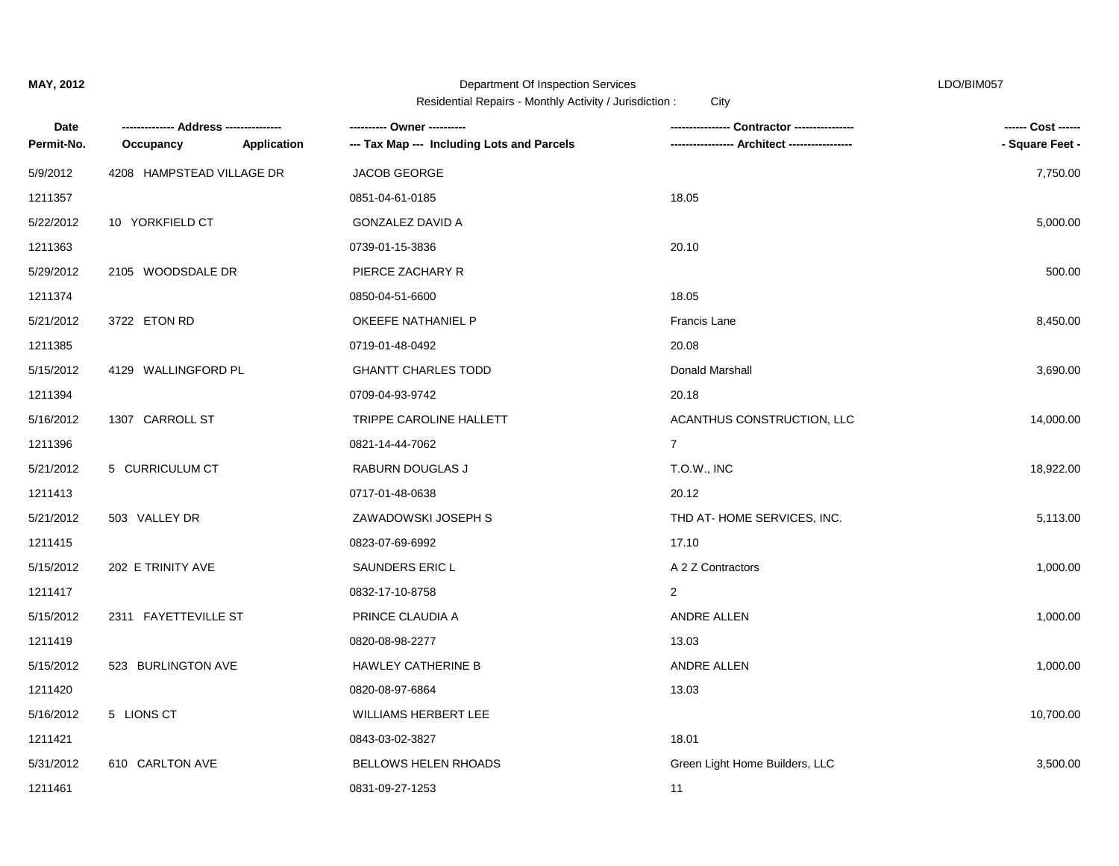| Date       |                           |             |                                            |                                | ------ Cost ------ |
|------------|---------------------------|-------------|--------------------------------------------|--------------------------------|--------------------|
| Permit-No. | Occupancy                 | Application | --- Tax Map --- Including Lots and Parcels |                                | - Square Feet -    |
| 5/9/2012   | 4208 HAMPSTEAD VILLAGE DR |             | <b>JACOB GEORGE</b>                        |                                | 7,750.00           |
| 1211357    |                           |             | 0851-04-61-0185                            | 18.05                          |                    |
| 5/22/2012  | 10 YORKFIELD CT           |             | <b>GONZALEZ DAVID A</b>                    |                                | 5,000.00           |
| 1211363    |                           |             | 0739-01-15-3836                            | 20.10                          |                    |
| 5/29/2012  | 2105 WOODSDALE DR         |             | PIERCE ZACHARY R                           |                                | 500.00             |
| 1211374    |                           |             | 0850-04-51-6600                            | 18.05                          |                    |
| 5/21/2012  | 3722 ETON RD              |             | OKEEFE NATHANIEL P                         | <b>Francis Lane</b>            | 8,450.00           |
| 1211385    |                           |             | 0719-01-48-0492                            | 20.08                          |                    |
| 5/15/2012  | 4129 WALLINGFORD PL       |             | <b>GHANTT CHARLES TODD</b>                 | Donald Marshall                | 3,690.00           |
| 1211394    |                           |             | 0709-04-93-9742                            | 20.18                          |                    |
| 5/16/2012  | 1307 CARROLL ST           |             | TRIPPE CAROLINE HALLETT                    | ACANTHUS CONSTRUCTION, LLC     | 14,000.00          |
| 1211396    |                           |             | 0821-14-44-7062                            | $\overline{7}$                 |                    |
| 5/21/2012  | 5 CURRICULUM CT           |             | RABURN DOUGLAS J                           | T.O.W., INC                    | 18,922.00          |
| 1211413    |                           |             | 0717-01-48-0638                            | 20.12                          |                    |
| 5/21/2012  | 503 VALLEY DR             |             | ZAWADOWSKI JOSEPH S                        | THD AT-HOME SERVICES, INC.     | 5,113.00           |
| 1211415    |                           |             | 0823-07-69-6992                            | 17.10                          |                    |
| 5/15/2012  | 202 E TRINITY AVE         |             | SAUNDERS ERIC L                            | A 2 Z Contractors              | 1,000.00           |
| 1211417    |                           |             | 0832-17-10-8758                            | 2                              |                    |
| 5/15/2012  | 2311 FAYETTEVILLE ST      |             | PRINCE CLAUDIA A                           | ANDRE ALLEN                    | 1,000.00           |
| 1211419    |                           |             | 0820-08-98-2277                            | 13.03                          |                    |
| 5/15/2012  | 523 BURLINGTON AVE        |             | <b>HAWLEY CATHERINE B</b>                  | ANDRE ALLEN                    | 1,000.00           |
| 1211420    |                           |             | 0820-08-97-6864                            | 13.03                          |                    |
| 5/16/2012  | 5 LIONS CT                |             | WILLIAMS HERBERT LEE                       |                                | 10,700.00          |
| 1211421    |                           |             | 0843-03-02-3827                            | 18.01                          |                    |
| 5/31/2012  | 610 CARLTON AVE           |             | BELLOWS HELEN RHOADS                       | Green Light Home Builders, LLC | 3,500.00           |
| 1211461    |                           |             | 0831-09-27-1253                            | 11                             |                    |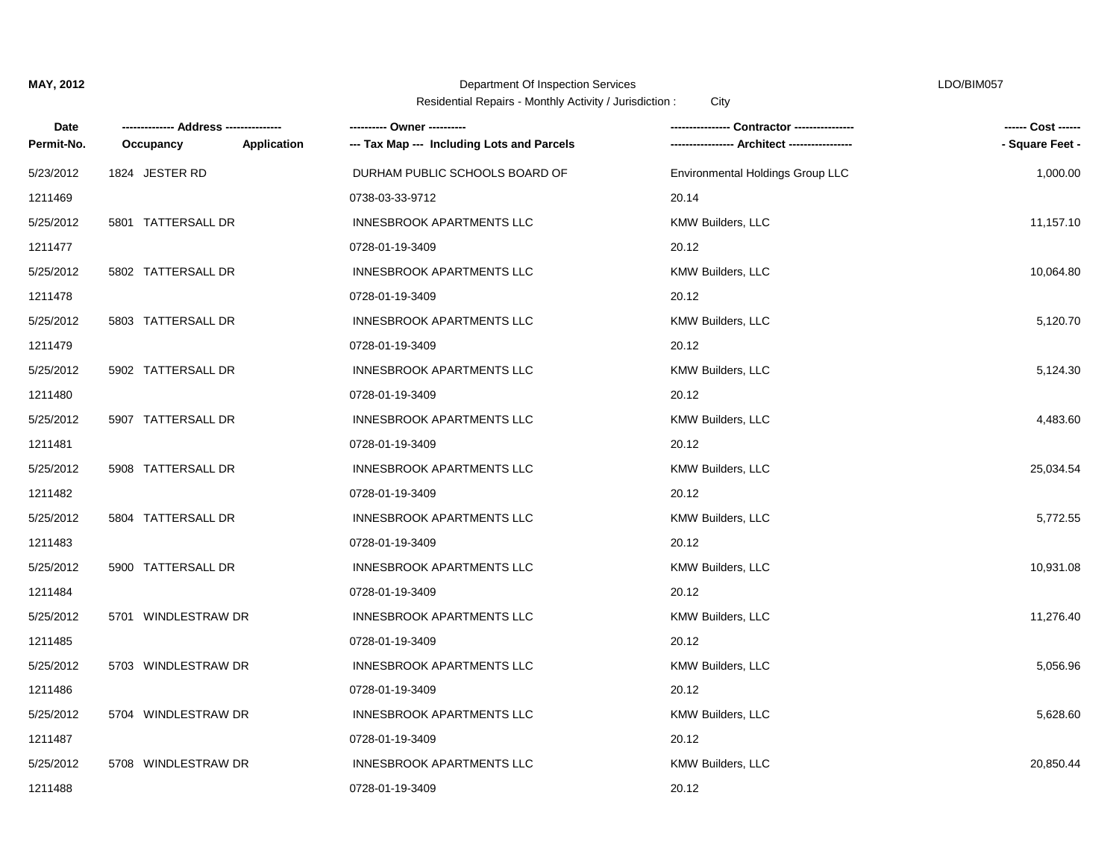| Date       |                     |             | ---------- Owner ----------                |                                  | ------ Cost ------ |
|------------|---------------------|-------------|--------------------------------------------|----------------------------------|--------------------|
| Permit-No. | Occupancy           | Application | --- Tax Map --- Including Lots and Parcels |                                  | - Square Feet -    |
| 5/23/2012  | 1824 JESTER RD      |             | DURHAM PUBLIC SCHOOLS BOARD OF             | Environmental Holdings Group LLC | 1,000.00           |
| 1211469    |                     |             | 0738-03-33-9712                            | 20.14                            |                    |
| 5/25/2012  | 5801 TATTERSALL DR  |             | <b>INNESBROOK APARTMENTS LLC</b>           | <b>KMW Builders, LLC</b>         | 11,157.10          |
| 1211477    |                     |             | 0728-01-19-3409                            | 20.12                            |                    |
| 5/25/2012  | 5802 TATTERSALL DR  |             | <b>INNESBROOK APARTMENTS LLC</b>           | KMW Builders, LLC                | 10,064.80          |
| 1211478    |                     |             | 0728-01-19-3409                            | 20.12                            |                    |
| 5/25/2012  | 5803 TATTERSALL DR  |             | <b>INNESBROOK APARTMENTS LLC</b>           | <b>KMW Builders, LLC</b>         | 5,120.70           |
| 1211479    |                     |             | 0728-01-19-3409                            | 20.12                            |                    |
| 5/25/2012  | 5902 TATTERSALL DR  |             | <b>INNESBROOK APARTMENTS LLC</b>           | KMW Builders, LLC                | 5,124.30           |
| 1211480    |                     |             | 0728-01-19-3409                            | 20.12                            |                    |
| 5/25/2012  | 5907 TATTERSALL DR  |             | <b>INNESBROOK APARTMENTS LLC</b>           | <b>KMW Builders, LLC</b>         | 4,483.60           |
| 1211481    |                     |             | 0728-01-19-3409                            | 20.12                            |                    |
| 5/25/2012  | 5908 TATTERSALL DR  |             | <b>INNESBROOK APARTMENTS LLC</b>           | <b>KMW Builders, LLC</b>         | 25,034.54          |
| 1211482    |                     |             | 0728-01-19-3409                            | 20.12                            |                    |
| 5/25/2012  | 5804 TATTERSALL DR  |             | <b>INNESBROOK APARTMENTS LLC</b>           | KMW Builders, LLC                | 5,772.55           |
| 1211483    |                     |             | 0728-01-19-3409                            | 20.12                            |                    |
| 5/25/2012  | 5900 TATTERSALL DR  |             | <b>INNESBROOK APARTMENTS LLC</b>           | KMW Builders, LLC                | 10,931.08          |
| 1211484    |                     |             | 0728-01-19-3409                            | 20.12                            |                    |
| 5/25/2012  | 5701 WINDLESTRAW DR |             | <b>INNESBROOK APARTMENTS LLC</b>           | KMW Builders, LLC                | 11,276.40          |
| 1211485    |                     |             | 0728-01-19-3409                            | 20.12                            |                    |
| 5/25/2012  | 5703 WINDLESTRAW DR |             | <b>INNESBROOK APARTMENTS LLC</b>           | KMW Builders, LLC                | 5,056.96           |
| 1211486    |                     |             | 0728-01-19-3409                            | 20.12                            |                    |
| 5/25/2012  | 5704 WINDLESTRAW DR |             | <b>INNESBROOK APARTMENTS LLC</b>           | <b>KMW Builders, LLC</b>         | 5,628.60           |
| 1211487    |                     |             | 0728-01-19-3409                            | 20.12                            |                    |
| 5/25/2012  | 5708 WINDLESTRAW DR |             | <b>INNESBROOK APARTMENTS LLC</b>           | KMW Builders, LLC                | 20,850.44          |
| 1211488    |                     |             | 0728-01-19-3409                            | 20.12                            |                    |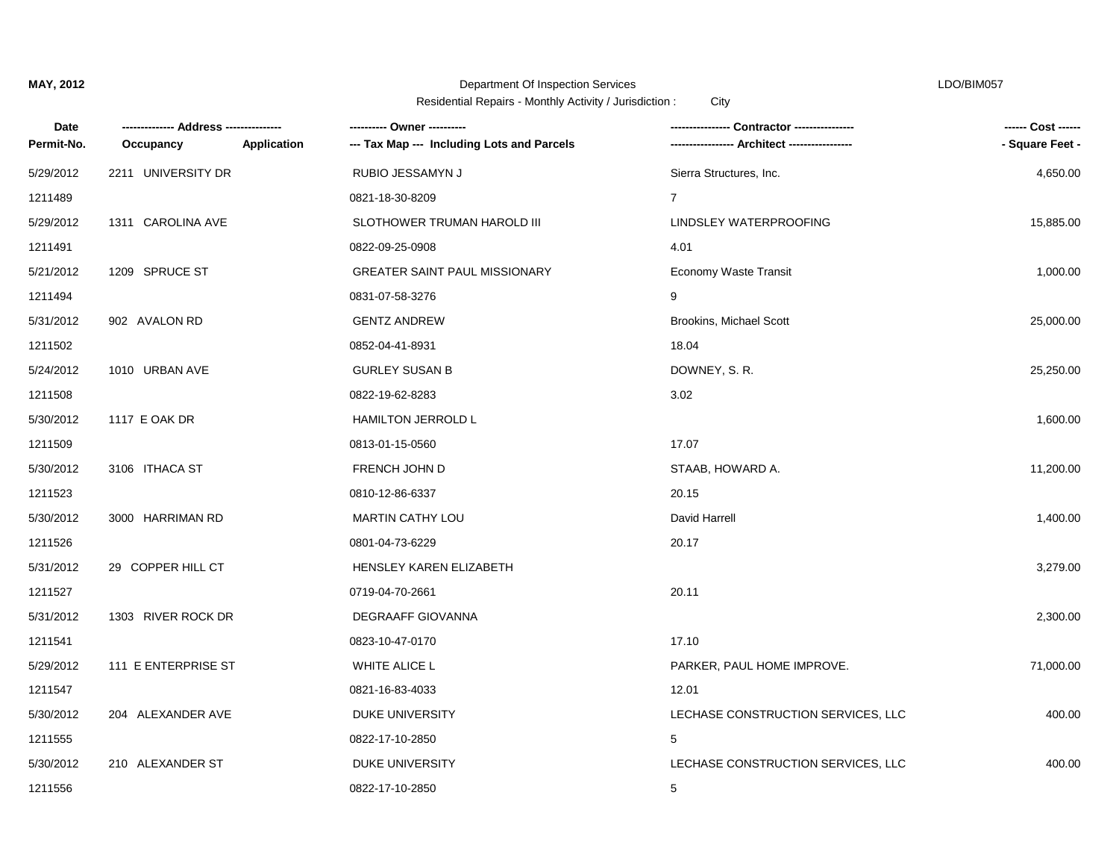| Date       |                     |             |                                            | ⋅ Contractor ----------------      | ------ Cost ------ |
|------------|---------------------|-------------|--------------------------------------------|------------------------------------|--------------------|
| Permit-No. | Occupancy           | Application | --- Tax Map --- Including Lots and Parcels |                                    | - Square Feet -    |
| 5/29/2012  | 2211 UNIVERSITY DR  |             | RUBIO JESSAMYN J                           | Sierra Structures, Inc.            | 4,650.00           |
| 1211489    |                     |             | 0821-18-30-8209                            | $\overline{7}$                     |                    |
| 5/29/2012  | 1311 CAROLINA AVE   |             | SLOTHOWER TRUMAN HAROLD III                | LINDSLEY WATERPROOFING             | 15,885.00          |
| 1211491    |                     |             | 0822-09-25-0908                            | 4.01                               |                    |
| 5/21/2012  | 1209 SPRUCE ST      |             | <b>GREATER SAINT PAUL MISSIONARY</b>       | Economy Waste Transit              | 1,000.00           |
| 1211494    |                     |             | 0831-07-58-3276                            | 9                                  |                    |
| 5/31/2012  | 902 AVALON RD       |             | <b>GENTZ ANDREW</b>                        | <b>Brookins, Michael Scott</b>     | 25,000.00          |
| 1211502    |                     |             | 0852-04-41-8931                            | 18.04                              |                    |
| 5/24/2012  | 1010 URBAN AVE      |             | <b>GURLEY SUSAN B</b>                      | DOWNEY, S. R.                      | 25,250.00          |
| 1211508    |                     |             | 0822-19-62-8283                            | 3.02                               |                    |
| 5/30/2012  | 1117 E OAK DR       |             | HAMILTON JERROLD L                         |                                    | 1,600.00           |
| 1211509    |                     |             | 0813-01-15-0560                            | 17.07                              |                    |
| 5/30/2012  | 3106 ITHACA ST      |             | <b>FRENCH JOHN D</b>                       | STAAB, HOWARD A.                   | 11,200.00          |
| 1211523    |                     |             | 0810-12-86-6337                            | 20.15                              |                    |
| 5/30/2012  | 3000 HARRIMAN RD    |             | <b>MARTIN CATHY LOU</b>                    | David Harrell                      | 1,400.00           |
| 1211526    |                     |             | 0801-04-73-6229                            | 20.17                              |                    |
| 5/31/2012  | 29 COPPER HILL CT   |             | HENSLEY KAREN ELIZABETH                    |                                    | 3,279.00           |
| 1211527    |                     |             | 0719-04-70-2661                            | 20.11                              |                    |
| 5/31/2012  | 1303 RIVER ROCK DR  |             | <b>DEGRAAFF GIOVANNA</b>                   |                                    | 2,300.00           |
| 1211541    |                     |             | 0823-10-47-0170                            | 17.10                              |                    |
| 5/29/2012  | 111 E ENTERPRISE ST |             | <b>WHITE ALICE L</b>                       | PARKER, PAUL HOME IMPROVE.         | 71,000.00          |
| 1211547    |                     |             | 0821-16-83-4033                            | 12.01                              |                    |
| 5/30/2012  | 204 ALEXANDER AVE   |             | DUKE UNIVERSITY                            | LECHASE CONSTRUCTION SERVICES, LLC | 400.00             |
| 1211555    |                     |             | 0822-17-10-2850                            | 5                                  |                    |
| 5/30/2012  | 210 ALEXANDER ST    |             | DUKE UNIVERSITY                            | LECHASE CONSTRUCTION SERVICES, LLC | 400.00             |
| 1211556    |                     |             | 0822-17-10-2850                            | 5                                  |                    |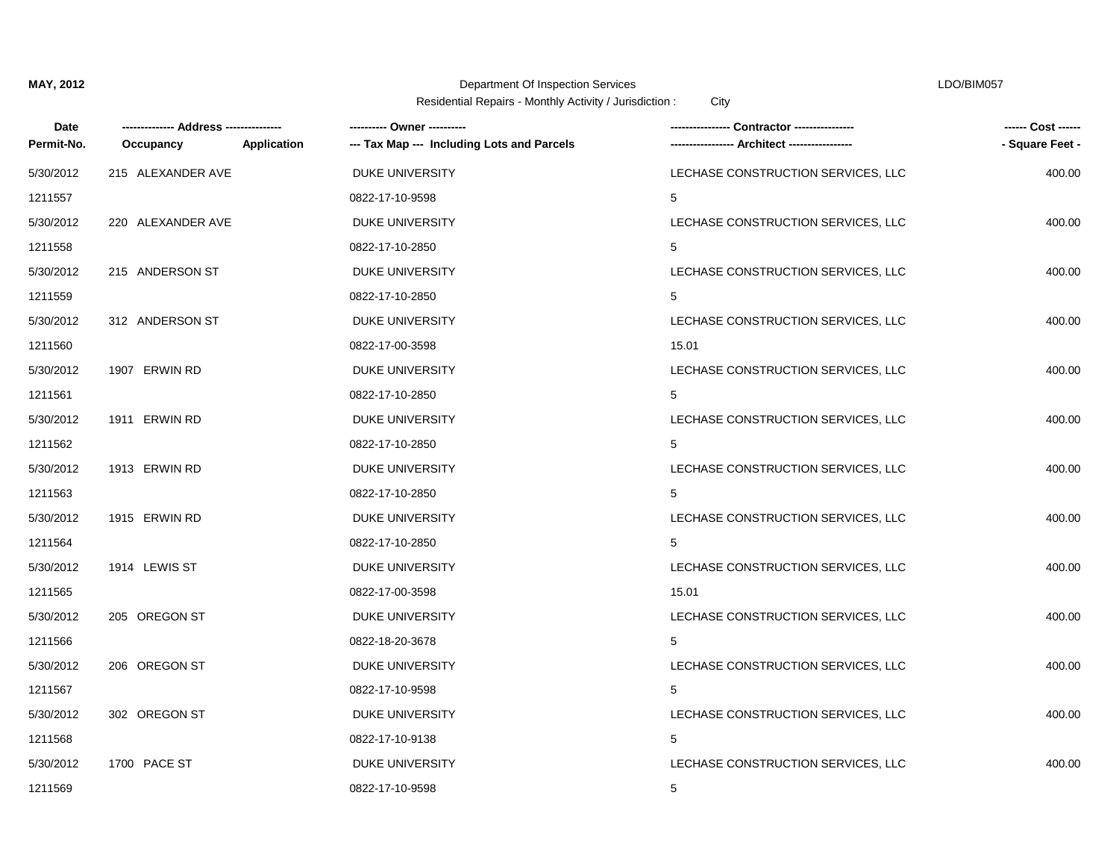| Date       |                   |             | ---------- Owner ----------                |                                    | ------ Cost ------ |
|------------|-------------------|-------------|--------------------------------------------|------------------------------------|--------------------|
| Permit-No. | Occupancy         | Application | --- Tax Map --- Including Lots and Parcels |                                    | - Square Feet -    |
| 5/30/2012  | 215 ALEXANDER AVE |             | <b>DUKE UNIVERSITY</b>                     | LECHASE CONSTRUCTION SERVICES, LLC | 400.00             |
| 1211557    |                   |             | 0822-17-10-9598                            | 5                                  |                    |
| 5/30/2012  | 220 ALEXANDER AVE |             | <b>DUKE UNIVERSITY</b>                     | LECHASE CONSTRUCTION SERVICES, LLC | 400.00             |
| 1211558    |                   |             | 0822-17-10-2850                            | 5                                  |                    |
| 5/30/2012  | 215 ANDERSON ST   |             | <b>DUKE UNIVERSITY</b>                     | LECHASE CONSTRUCTION SERVICES, LLC | 400.00             |
| 1211559    |                   |             | 0822-17-10-2850                            | 5                                  |                    |
| 5/30/2012  | 312 ANDERSON ST   |             | <b>DUKE UNIVERSITY</b>                     | LECHASE CONSTRUCTION SERVICES, LLC | 400.00             |
| 1211560    |                   |             | 0822-17-00-3598                            | 15.01                              |                    |
| 5/30/2012  | 1907 ERWIN RD     |             | <b>DUKE UNIVERSITY</b>                     | LECHASE CONSTRUCTION SERVICES, LLC | 400.00             |
| 1211561    |                   |             | 0822-17-10-2850                            | 5                                  |                    |
| 5/30/2012  | 1911 ERWIN RD     |             | DUKE UNIVERSITY                            | LECHASE CONSTRUCTION SERVICES, LLC | 400.00             |
| 1211562    |                   |             | 0822-17-10-2850                            | 5                                  |                    |
| 5/30/2012  | 1913 ERWIN RD     |             | <b>DUKE UNIVERSITY</b>                     | LECHASE CONSTRUCTION SERVICES, LLC | 400.00             |
| 1211563    |                   |             | 0822-17-10-2850                            | 5                                  |                    |
| 5/30/2012  | 1915 ERWIN RD     |             | <b>DUKE UNIVERSITY</b>                     | LECHASE CONSTRUCTION SERVICES, LLC | 400.00             |
| 1211564    |                   |             | 0822-17-10-2850                            | 5                                  |                    |
| 5/30/2012  | 1914 LEWIS ST     |             | <b>DUKE UNIVERSITY</b>                     | LECHASE CONSTRUCTION SERVICES, LLC | 400.00             |
| 1211565    |                   |             | 0822-17-00-3598                            | 15.01                              |                    |
| 5/30/2012  | 205 OREGON ST     |             | <b>DUKE UNIVERSITY</b>                     | LECHASE CONSTRUCTION SERVICES, LLC | 400.00             |
| 1211566    |                   |             | 0822-18-20-3678                            | 5                                  |                    |
| 5/30/2012  | 206 OREGON ST     |             | <b>DUKE UNIVERSITY</b>                     | LECHASE CONSTRUCTION SERVICES, LLC | 400.00             |
| 1211567    |                   |             | 0822-17-10-9598                            | 5                                  |                    |
| 5/30/2012  | 302 OREGON ST     |             | <b>DUKE UNIVERSITY</b>                     | LECHASE CONSTRUCTION SERVICES, LLC | 400.00             |
| 1211568    |                   |             | 0822-17-10-9138                            | 5                                  |                    |
| 5/30/2012  | 1700 PACE ST      |             | DUKE UNIVERSITY                            | LECHASE CONSTRUCTION SERVICES, LLC | 400.00             |
| 1211569    |                   |             | 0822-17-10-9598                            | 5                                  |                    |